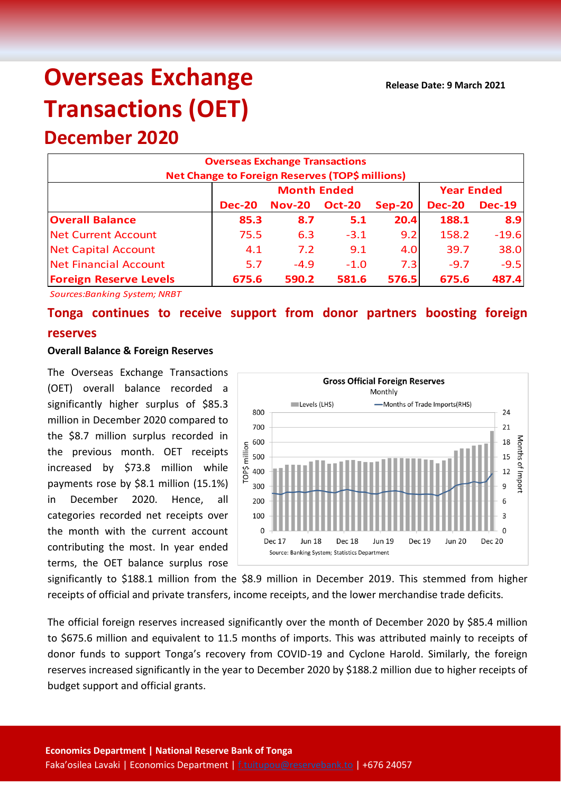# **Overseas Exchange Transactions (OET)**

**December 2020 Overseas Exchange Transactions Net Change to Foreign Reserves (TOP\$ millions) Dec-20 Nov-20 Oct-20 Sep-20 Dec-20 Dec-19 Overall Balance 85.3 8.7 5.1 20.4 188.1 8.9** Net Current Account 75.5 6.3 -3.1 9.2 158.2 -19.6 Net Capital Account 4.1 7.2 9.1 4.0 39.7 38.0 Net Financial Account 5.7 -4.9 -1.0 7.3 -9.7 -9.5 **Month Ended Year Ended**

*Sources:Banking System; NRBT*

**Tonga continues to receive support from donor partners boosting foreign reserves**

**Foreign Reserve Levels 675.6 590.2 581.6 576.5 675.6 487.4**

### **Overall Balance & Foreign Reserves**

The Overseas Exchange Transactions (OET) overall balance recorded a significantly higher surplus of \$85.3 million in December 2020 compared to the \$8.7 million surplus recorded in the previous month. OET receipts increased by \$73.8 million while payments rose by \$8.1 million (15.1%) in December 2020. Hence, all categories recorded net receipts over the month with the current account contributing the most. In year ended terms, the OET balance surplus rose



significantly to \$188.1 million from the \$8.9 million in December 2019. This stemmed from higher receipts of official and private transfers, income receipts, and the lower merchandise trade deficits.

The official foreign reserves increased significantly over the month of December 2020 by \$85.4 million to \$675.6 million and equivalent to 11.5 months of imports. This was attributed mainly to receipts of donor funds to support Tonga's recovery from COVID-19 and Cyclone Harold. Similarly, the foreign reserves increased significantly in the year to December 2020 by \$188.2 million due to higher receipts of budget support and official grants.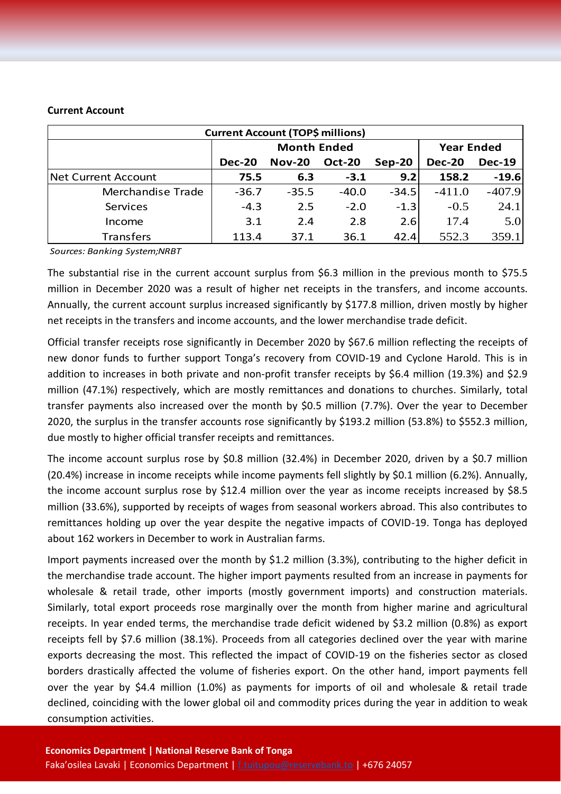#### **Current Account**

| <b>Current Account (TOP\$ millions)</b> |                    |               |               |          |                   |               |  |  |
|-----------------------------------------|--------------------|---------------|---------------|----------|-------------------|---------------|--|--|
|                                         | <b>Month Ended</b> |               |               |          | <b>Year Ended</b> |               |  |  |
|                                         | <b>Dec-20</b>      | <b>Nov-20</b> | <b>Oct-20</b> | $Sep-20$ | <b>Dec-20</b>     | <b>Dec-19</b> |  |  |
| Net Current Account                     | 75.5               | 6.3           | $-3.1$        | 9.2      | 158.2             | $-19.6$       |  |  |
| Merchandise Trade                       | $-36.7$            | $-35.5$       | $-40.0$       | $-34.5$  | $-411.0$          | $-407.9$      |  |  |
| Services                                | $-4.3$             | 2.5           | $-2.0$        | $-1.3$   | $-0.5$            | 24.1          |  |  |
| Income                                  | 3.1                | 2.4           | 2.8           | 2.6      | 17.4              | 5.0           |  |  |
| <b>Transfers</b>                        | 113.4              | 37.1          | 36.1          | 42.4     | 552.3             | 359.1         |  |  |

*Sources: Banking System;NRBT*

The substantial rise in the current account surplus from \$6.3 million in the previous month to \$75.5 million in December 2020 was a result of higher net receipts in the transfers, and income accounts. Annually, the current account surplus increased significantly by \$177.8 million, driven mostly by higher net receipts in the transfers and income accounts, and the lower merchandise trade deficit.

Official transfer receipts rose significantly in December 2020 by \$67.6 million reflecting the receipts of new donor funds to further support Tonga's recovery from COVID-19 and Cyclone Harold. This is in addition to increases in both private and non-profit transfer receipts by \$6.4 million (19.3%) and \$2.9 million (47.1%) respectively, which are mostly remittances and donations to churches. Similarly, total transfer payments also increased over the month by \$0.5 million (7.7%). Over the year to December 2020, the surplus in the transfer accounts rose significantly by \$193.2 million (53.8%) to \$552.3 million, due mostly to higher official transfer receipts and remittances.

The income account surplus rose by \$0.8 million (32.4%) in December 2020, driven by a \$0.7 million (20.4%) increase in income receipts while income payments fell slightly by \$0.1 million (6.2%). Annually, the income account surplus rose by \$12.4 million over the year as income receipts increased by \$8.5 million (33.6%), supported by receipts of wages from seasonal workers abroad. This also contributes to remittances holding up over the year despite the negative impacts of COVID-19. Tonga has deployed about 162 workers in December to work in Australian farms.

Import payments increased over the month by \$1.2 million (3.3%), contributing to the higher deficit in the merchandise trade account. The higher import payments resulted from an increase in payments for wholesale & retail trade, other imports (mostly government imports) and construction materials. Similarly, total export proceeds rose marginally over the month from higher marine and agricultural receipts. In year ended terms, the merchandise trade deficit widened by \$3.2 million (0.8%) as export receipts fell by \$7.6 million (38.1%). Proceeds from all categories declined over the year with marine exports decreasing the most. This reflected the impact of COVID-19 on the fisheries sector as closed borders drastically affected the volume of fisheries export. On the other hand, import payments fell over the year by \$4.4 million (1.0%) as payments for imports of oil and wholesale & retail trade declined, coinciding with the lower global oil and commodity prices during the year in addition to weak consumption activities.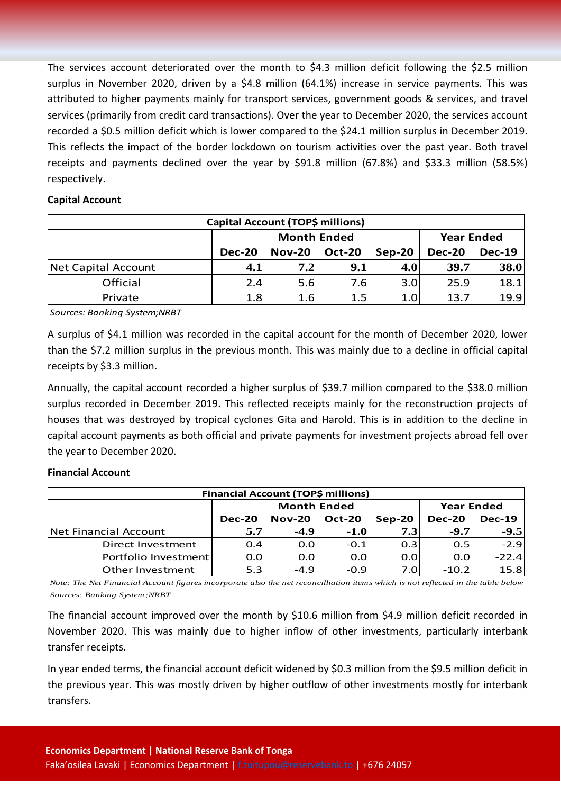The services account deteriorated over the month to \$4.3 million deficit following the \$2.5 million surplus in November 2020, driven by a \$4.8 million (64.1%) increase in service payments. This was attributed to higher payments mainly for transport services, government goods & services, and travel services (primarily from credit card transactions). Over the year to December 2020, the services account recorded a \$0.5 million deficit which is lower compared to the \$24.1 million surplus in December 2019. This reflects the impact of the border lockdown on tourism activities over the past year. Both travel receipts and payments declined over the year by \$91.8 million (67.8%) and \$33.3 million (58.5%) respectively.

#### **Capital Account**

| Capital Account (TOP\$ millions) |               |                    |                   |          |               |               |  |  |
|----------------------------------|---------------|--------------------|-------------------|----------|---------------|---------------|--|--|
|                                  |               | <b>Month Ended</b> | <b>Year Ended</b> |          |               |               |  |  |
|                                  | <b>Dec-20</b> | <b>Nov-20</b>      | <b>Oct-20</b>     | $Sep-20$ | <b>Dec-20</b> | <b>Dec-19</b> |  |  |
| <b>Net Capital Account</b>       | 4.1           | 7.2                | 9.1               | 4.0      | 39.7          | 38.0          |  |  |
| Official                         | 2.4           | 5.6                | 7.6               | 3.0      | 25.9          | 18.1          |  |  |
| Private                          | 1.8           | 1.6                | $1.5\,$           | 1.0      | 13.7          | 19.9          |  |  |

*Sources: Banking System;NRBT*

A surplus of \$4.1 million was recorded in the capital account for the month of December 2020, lower than the \$7.2 million surplus in the previous month. This was mainly due to a decline in official capital receipts by \$3.3 million.

Annually, the capital account recorded a higher surplus of \$39.7 million compared to the \$38.0 million surplus recorded in December 2019. This reflected receipts mainly for the reconstruction projects of houses that was destroyed by tropical cyclones Gita and Harold. This is in addition to the decline in capital account payments as both official and private payments for investment projects abroad fell over the year to December 2020.

# **Financial Account**

| <b>Financial Account (TOP\$ millions)</b> |                    |          |               |          |                   |               |  |  |
|-------------------------------------------|--------------------|----------|---------------|----------|-------------------|---------------|--|--|
|                                           | <b>Month Ended</b> |          |               |          | <b>Year Ended</b> |               |  |  |
|                                           | <b>Dec-20</b>      | $Nov-20$ | <b>Oct-20</b> | $Sep-20$ | <b>Dec-20</b>     | <b>Dec-19</b> |  |  |
| Net Financial Account                     | 5.7                | $-4.9$   | $-1.0$        | 7.3      | $-9.7$            | $-9.5$        |  |  |
| Direct Investment                         | 0.4                | 0.0      | $-0.1$        | 0.3      | 0.5               | $-2.9$        |  |  |
| Portfolio Investment                      | 0.0                | 0.0      | 0.0           | 0.0      | 0.0               | $-22.4$       |  |  |
| Other Investment                          | 5.3                | $-4.9$   | $-0.9$        | 7.0      | $-10.2$           | 15.8          |  |  |

*Note: The Net Financial Account figures incorporate also the net reconcilliation items which is not reflected in the table below Sources: Banking System;NRBT*

The financial account improved over the month by \$10.6 million from \$4.9 million deficit recorded in November 2020. This was mainly due to higher inflow of other investments, particularly interbank transfer receipts.

In year ended terms, the financial account deficit widened by \$0.3 million from the \$9.5 million deficit in the previous year. This was mostly driven by higher outflow of other investments mostly for interbank transfers.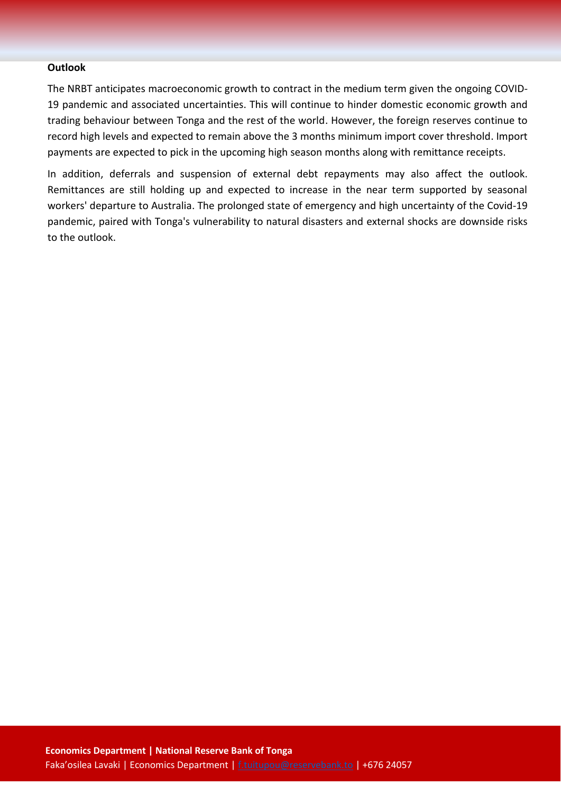## **Outlook**

The NRBT anticipates macroeconomic growth to contract in the medium term given the ongoing COVID-19 pandemic and associated uncertainties. This will continue to hinder domestic economic growth and trading behaviour between Tonga and the rest of the world. However, the foreign reserves continue to record high levels and expected to remain above the 3 months minimum import cover threshold. Import payments are expected to pick in the upcoming high season months along with remittance receipts.

In addition, deferrals and suspension of external debt repayments may also affect the outlook. Remittances are still holding up and expected to increase in the near term supported by seasonal workers' departure to Australia. The prolonged state of emergency and high uncertainty of the Covid-19 pandemic, paired with Tonga's vulnerability to natural disasters and external shocks are downside risks to the outlook.